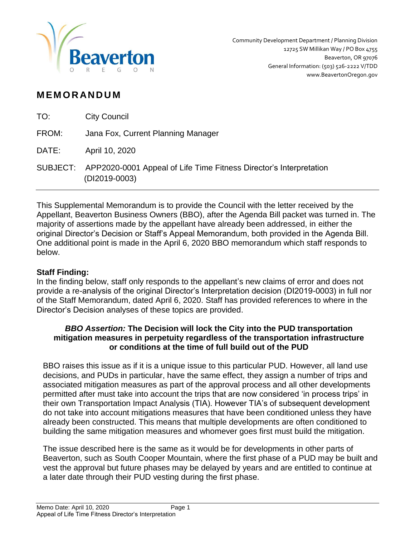

# **M EM O R AN D U M**

| TO:   | <b>City Council</b>                                                                          |
|-------|----------------------------------------------------------------------------------------------|
| FROM: | Jana Fox, Current Planning Manager                                                           |
| DATE: | April 10, 2020                                                                               |
|       | SUBJECT: APP2020-0001 Appeal of Life Time Fitness Director's Interpretation<br>(DI2019-0003) |

This Supplemental Memorandum is to provide the Council with the letter received by the Appellant, Beaverton Business Owners (BBO), after the Agenda Bill packet was turned in. The majority of assertions made by the appellant have already been addressed, in either the original Director's Decision or Staff's Appeal Memorandum, both provided in the Agenda Bill. One additional point is made in the April 6, 2020 BBO memorandum which staff responds to below.

# **Staff Finding:**

In the finding below, staff only responds to the appellant's new claims of error and does not provide a re-analysis of the original Director's Interpretation decision (DI2019-0003) in full nor of the Staff Memorandum, dated April 6, 2020. Staff has provided references to where in the Director's Decision analyses of these topics are provided.

# *BBO Assertion:* **The Decision will lock the City into the PUD transportation mitigation measures in perpetuity regardless of the transportation infrastructure or conditions at the time of full build out of the PUD**

BBO raises this issue as if it is a unique issue to this particular PUD. However, all land use decisions, and PUDs in particular, have the same effect, they assign a number of trips and associated mitigation measures as part of the approval process and all other developments permitted after must take into account the trips that are now considered 'in process trips' in their own Transportation Impact Analysis (TIA). However TIA's of subsequent development do not take into account mitigations measures that have been conditioned unless they have already been constructed. This means that multiple developments are often conditioned to building the same mitigation measures and whomever goes first must build the mitigation.

The issue described here is the same as it would be for developments in other parts of Beaverton, such as South Cooper Mountain, where the first phase of a PUD may be built and vest the approval but future phases may be delayed by years and are entitled to continue at a later date through their PUD vesting during the first phase.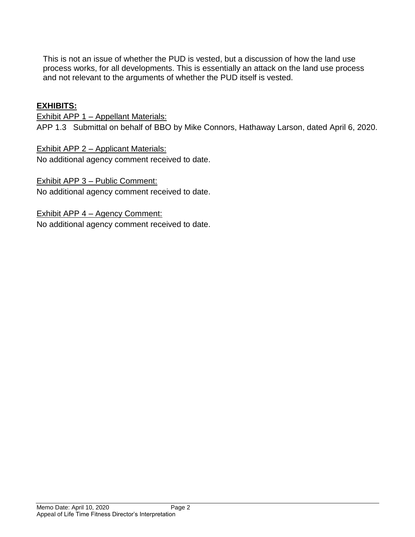This is not an issue of whether the PUD is vested, but a discussion of how the land use process works, for all developments. This is essentially an attack on the land use process and not relevant to the arguments of whether the PUD itself is vested.

# **EXHIBITS:**

Exhibit APP 1 - Appellant Materials: APP 1.3 Submittal on behalf of BBO by Mike Connors, Hathaway Larson, dated April 6, 2020.

Exhibit APP 2 – Applicant Materials: No additional agency comment received to date.

Exhibit APP 3 – Public Comment: No additional agency comment received to date.

Exhibit APP 4 – Agency Comment: No additional agency comment received to date.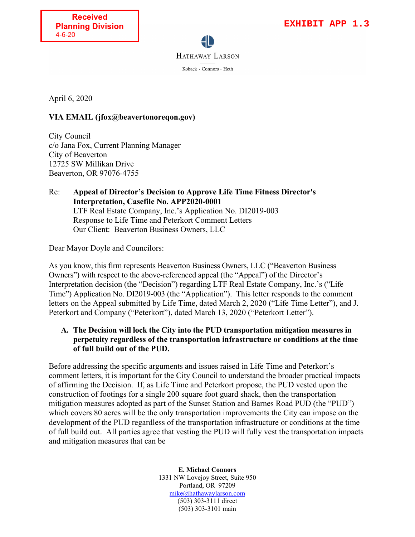HATHAWAY LARSON Koback · Connors · Heth

April 6, 2020

#### **VIA EMAIL (jfox@beavertonoreqon.gov)**

City Council c/o Jana Fox, Current Planning Manager City of Beaverton 12725 SW Millikan Drive Beaverton, OR 97076-4755

Re: **Appeal of Director's Decision to Approve Life Time Fitness Director's Interpretation, Casefile No. APP2020-0001** LTF Real Estate Company, Inc.'s Application No. DI2019-003 Response to Life Time and Peterkort Comment Letters Our Client: Beaverton Business Owners, LLC

Dear Mayor Doyle and Councilors:

As you know, this firm represents Beaverton Business Owners, LLC ("Beaverton Business Owners") with respect to the above-referenced appeal (the "Appeal") of the Director's Interpretation decision (the "Decision") regarding LTF Real Estate Company, Inc.'s ("Life Time") Application No. DI2019-003 (the "Application"). This letter responds to the comment letters on the Appeal submitted by Life Time, dated March 2, 2020 ("Life Time Letter"), and J. Peterkort and Company ("Peterkort"), dated March 13, 2020 ("Peterkort Letter").

#### **A. The Decision will lock the City into the PUD transportation mitigation measures in perpetuity regardless of the transportation infrastructure or conditions at the time of full build out of the PUD.**

Before addressing the specific arguments and issues raised in Life Time and Peterkort's comment letters, it is important for the City Council to understand the broader practical impacts of affirming the Decision. If, as Life Time and Peterkort propose, the PUD vested upon the construction of footings for a single 200 square foot guard shack, then the transportation mitigation measures adopted as part of the Sunset Station and Barnes Road PUD (the "PUD") which covers 80 acres will be the only transportation improvements the City can impose on the development of the PUD regardless of the transportation infrastructure or conditions at the time of full build out. All parties agree that vesting the PUD will fully vest the transportation impacts and mitigation measures that can be

> **E. Michael Connors** 1331 NW Lovejoy Street, Suite 950 Portland, OR 97209 [mike@hathawaylarson.com](mailto:mike@hathawaylarson.com) (503) 303-3111 direct (503) 303-3101 main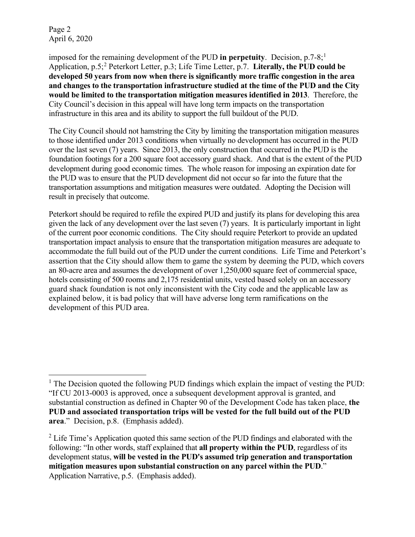Page 2 April 6, 2020

imposed for the remaining development of the PUD in perpetuity. Decision,  $p.7-8$ ;<sup>[1](#page-3-0)</sup> Application, p.5;<sup>[2](#page-3-1)</sup> Peterkort Letter, p.3; Life Time Letter, p.7. **Literally, the PUD could be developed 50 years from now when there is significantly more traffic congestion in the area and changes to the transportation infrastructure studied at the time of the PUD and the City would be limited to the transportation mitigation measures identified in 2013**. Therefore, the City Council's decision in this appeal will have long term impacts on the transportation infrastructure in this area and its ability to support the full buildout of the PUD.

The City Council should not hamstring the City by limiting the transportation mitigation measures to those identified under 2013 conditions when virtually no development has occurred in the PUD over the last seven (7) years. Since 2013, the only construction that occurred in the PUD is the foundation footings for a 200 square foot accessory guard shack. And that is the extent of the PUD development during good economic times. The whole reason for imposing an expiration date for the PUD was to ensure that the PUD development did not occur so far into the future that the transportation assumptions and mitigation measures were outdated. Adopting the Decision will result in precisely that outcome.

Peterkort should be required to refile the expired PUD and justify its plans for developing this area given the lack of any development over the last seven (7) years. It is particularly important in light of the current poor economic conditions. The City should require Peterkort to provide an updated transportation impact analysis to ensure that the transportation mitigation measures are adequate to accommodate the full build out of the PUD under the current conditions. Life Time and Peterkort's assertion that the City should allow them to game the system by deeming the PUD, which covers an 80-acre area and assumes the development of over 1,250,000 square feet of commercial space, hotels consisting of 500 rooms and 2,175 residential units, vested based solely on an accessory guard shack foundation is not only inconsistent with the City code and the applicable law as explained below, it is bad policy that will have adverse long term ramifications on the development of this PUD area.

<span id="page-3-0"></span><sup>&</sup>lt;sup>1</sup> The Decision quoted the following PUD findings which explain the impact of vesting the PUD: "If CU 2013-0003 is approved, once a subsequent development approval is granted, and substantial construction as defined in Chapter 90 of the Development Code has taken place, **the PUD and associated transportation trips will be vested for the full build out of the PUD area**." Decision, p.8. (Emphasis added).

<span id="page-3-1"></span> $2^2$  Life Time's Application quoted this same section of the PUD findings and elaborated with the following: "In other words, staff explained that **all property within the PUD**, regardless of its development status, **will be vested in the PUD's assumed trip generation and transportation mitigation measures upon substantial construction on any parcel within the PUD**." Application Narrative, p.5. (Emphasis added).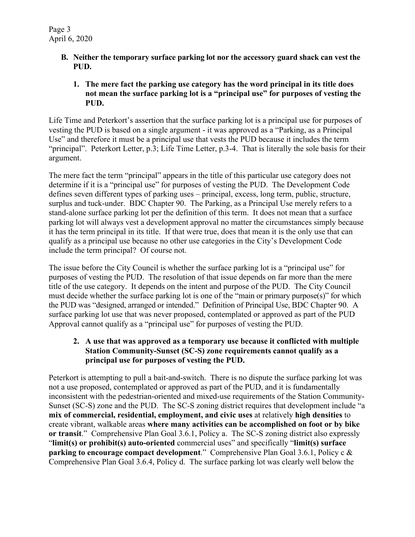- **B. Neither the temporary surface parking lot nor the accessory guard shack can vest the PUD.** 
	- **1. The mere fact the parking use category has the word principal in its title does not mean the surface parking lot is a "principal use" for purposes of vesting the PUD.**

Life Time and Peterkort's assertion that the surface parking lot is a principal use for purposes of vesting the PUD is based on a single argument - it was approved as a "Parking, as a Principal Use" and therefore it must be a principal use that vests the PUD because it includes the term "principal". Peterkort Letter, p.3; Life Time Letter, p.3-4. That is literally the sole basis for their argument.

The mere fact the term "principal" appears in the title of this particular use category does not determine if it is a "principal use" for purposes of vesting the PUD. The Development Code defines seven different types of parking uses – principal, excess, long term, public, structure, surplus and tuck-under. BDC Chapter 90. The Parking, as a Principal Use merely refers to a stand-alone surface parking lot per the definition of this term. It does not mean that a surface parking lot will always vest a development approval no matter the circumstances simply because it has the term principal in its title. If that were true, does that mean it is the only use that can qualify as a principal use because no other use categories in the City's Development Code include the term principal? Of course not.

The issue before the City Council is whether the surface parking lot is a "principal use" for purposes of vesting the PUD. The resolution of that issue depends on far more than the mere title of the use category. It depends on the intent and purpose of the PUD. The City Council must decide whether the surface parking lot is one of the "main or primary purpose(s)" for which the PUD was "designed, arranged or intended." Definition of Principal Use, BDC Chapter 90. A surface parking lot use that was never proposed, contemplated or approved as part of the PUD Approval cannot qualify as a "principal use" for purposes of vesting the PUD.

#### **2. A use that was approved as a temporary use because it conflicted with multiple Station Community-Sunset (SC-S) zone requirements cannot qualify as a principal use for purposes of vesting the PUD.**

Peterkort is attempting to pull a bait-and-switch. There is no dispute the surface parking lot was not a use proposed, contemplated or approved as part of the PUD, and it is fundamentally inconsistent with the pedestrian-oriented and mixed-use requirements of the Station Community-Sunset (SC-S) zone and the PUD. The SC-S zoning district requires that development include "a **mix of commercial, residential, employment, and civic uses** at relatively **high densities** to create vibrant, walkable areas **where many activities can be accomplished on foot or by bike or transit**." Comprehensive Plan Goal 3.6.1, Policy a. The SC-S zoning district also expressly "**limit(s) or prohibit(s) auto-oriented** commercial uses" and specifically "**limit(s) surface parking to encourage compact development**." Comprehensive Plan Goal 3.6.1, Policy c & Comprehensive Plan Goal 3.6.4, Policy d. The surface parking lot was clearly well below the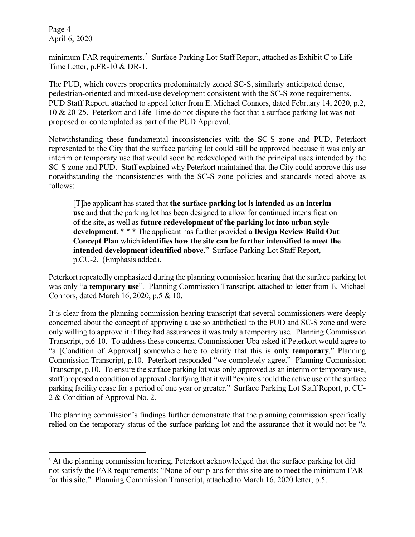Page 4 April 6, 2020

minimum FAR requirements.<sup>[3](#page-5-0)</sup> Surface Parking Lot Staff Report, attached as Exhibit C to Life Time Letter, p.FR-10 & DR-1.

The PUD, which covers properties predominately zoned SC-S, similarly anticipated dense, pedestrian-oriented and mixed-use development consistent with the SC-S zone requirements. PUD Staff Report, attached to appeal letter from E. Michael Connors, dated February 14, 2020, p.2, 10 & 20-25. Peterkort and Life Time do not dispute the fact that a surface parking lot was not proposed or contemplated as part of the PUD Approval.

Notwithstanding these fundamental inconsistencies with the SC-S zone and PUD, Peterkort represented to the City that the surface parking lot could still be approved because it was only an interim or temporary use that would soon be redeveloped with the principal uses intended by the SC-S zone and PUD. Staff explained why Peterkort maintained that the City could approve this use notwithstanding the inconsistencies with the SC-S zone policies and standards noted above as follows:

[T]he applicant has stated that **the surface parking lot is intended as an interim use** and that the parking lot has been designed to allow for continued intensification of the site, as well as **future redevelopment of the parking lot into urban style development**. \* \* \* The applicant has further provided a **Design Review Build Out Concept Plan** which **identifies how the site can be further intensified to meet the intended development identified above**." Surface Parking Lot Staff Report, p.CU-2. (Emphasis added).

Peterkort repeatedly emphasized during the planning commission hearing that the surface parking lot was only "**a temporary use**". Planning Commission Transcript, attached to letter from E. Michael Connors, dated March 16, 2020, p.5 & 10.

It is clear from the planning commission hearing transcript that several commissioners were deeply concerned about the concept of approving a use so antithetical to the PUD and SC-S zone and were only willing to approve it if they had assurances it was truly a temporary use. Planning Commission Transcript, p.6-10. To address these concerns, Commissioner Uba asked if Peterkort would agree to "a [Condition of Approval] somewhere here to clarify that this is **only temporary**." Planning Commission Transcript, p.10. Peterkort responded "we completely agree." Planning Commission Transcript, p.10. To ensure the surface parking lot was only approved as an interim or temporary use, staff proposed a condition of approval clarifying that it will "expire should the active use of the surface parking facility cease for a period of one year or greater." Surface Parking Lot Staff Report, p. CU-2 & Condition of Approval No. 2.

The planning commission's findings further demonstrate that the planning commission specifically relied on the temporary status of the surface parking lot and the assurance that it would not be "a

<span id="page-5-0"></span><sup>&</sup>lt;sup>3</sup> At the planning commission hearing, Peterkort acknowledged that the surface parking lot did not satisfy the FAR requirements: "None of our plans for this site are to meet the minimum FAR for this site." Planning Commission Transcript, attached to March 16, 2020 letter, p.5.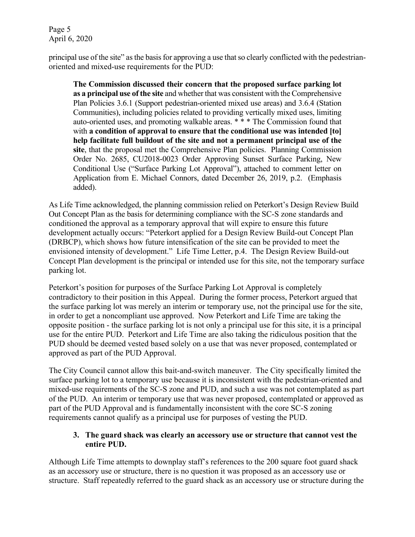Page 5 April 6, 2020

principal use of the site" as the basis for approving a use that so clearly conflicted with the pedestrianoriented and mixed-use requirements for the PUD:

**The Commission discussed their concern that the proposed surface parking lot as a principal use of the site** and whether that was consistent with the Comprehensive Plan Policies 3.6.1 (Support pedestrian-oriented mixed use areas) and 3.6.4 (Station Communities), including policies related to providing vertically mixed uses, limiting auto-oriented uses, and promoting walkable areas. \* \* \* The Commission found that with a condition of approval to ensure that the conditional use was intended [to] **help facilitate full buildout of the site and not a permanent principal use of the site**, that the proposal met the Comprehensive Plan policies. Planning Commission Order No. 2685, CU2018-0023 Order Approving Sunset Surface Parking, New Conditional Use ("Surface Parking Lot Approval"), attached to comment letter on Application from E. Michael Connors, dated December 26, 2019, p.2. (Emphasis added).

As Life Time acknowledged, the planning commission relied on Peterkort's Design Review Build Out Concept Plan as the basis for determining compliance with the SC-S zone standards and conditioned the approval as a temporary approval that will expire to ensure this future development actually occurs: "Peterkort applied for a Design Review Build-out Concept Plan (DRBCP), which shows how future intensification of the site can be provided to meet the envisioned intensity of development." Life Time Letter, p.4. The Design Review Build-out Concept Plan development is the principal or intended use for this site, not the temporary surface parking lot.

Peterkort's position for purposes of the Surface Parking Lot Approval is completely contradictory to their position in this Appeal. During the former process, Peterkort argued that the surface parking lot was merely an interim or temporary use, not the principal use for the site, in order to get a noncompliant use approved. Now Peterkort and Life Time are taking the opposite position - the surface parking lot is not only a principal use for this site, it is a principal use for the entire PUD. Peterkort and Life Time are also taking the ridiculous position that the PUD should be deemed vested based solely on a use that was never proposed, contemplated or approved as part of the PUD Approval.

The City Council cannot allow this bait-and-switch maneuver. The City specifically limited the surface parking lot to a temporary use because it is inconsistent with the pedestrian-oriented and mixed-use requirements of the SC-S zone and PUD, and such a use was not contemplated as part of the PUD. An interim or temporary use that was never proposed, contemplated or approved as part of the PUD Approval and is fundamentally inconsistent with the core SC-S zoning requirements cannot qualify as a principal use for purposes of vesting the PUD.

# **3. The guard shack was clearly an accessory use or structure that cannot vest the entire PUD.**

Although Life Time attempts to downplay staff's references to the 200 square foot guard shack as an accessory use or structure, there is no question it was proposed as an accessory use or structure. Staff repeatedly referred to the guard shack as an accessory use or structure during the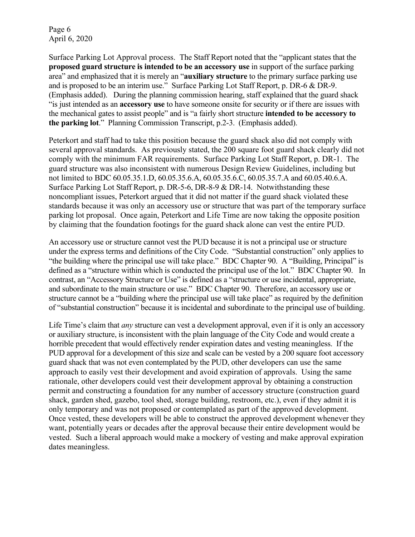Page 6 April 6, 2020

Surface Parking Lot Approval process. The Staff Report noted that the "applicant states that the **proposed guard structure is intended to be an accessory use** in support of the surface parking area" and emphasized that it is merely an "**auxiliary structure** to the primary surface parking use and is proposed to be an interim use." Surface Parking Lot Staff Report, p. DR-6 & DR-9. (Emphasis added). During the planning commission hearing, staff explained that the guard shack "is just intended as an **accessory use** to have someone onsite for security or if there are issues with the mechanical gates to assist people" and is "a fairly short structure **intended to be accessory to the parking lot**." Planning Commission Transcript, p.2-3. (Emphasis added).

Peterkort and staff had to take this position because the guard shack also did not comply with several approval standards. As previously stated, the 200 square foot guard shack clearly did not comply with the minimum FAR requirements. Surface Parking Lot Staff Report, p. DR-1. The guard structure was also inconsistent with numerous Design Review Guidelines, including but not limited to BDC 60.05.35.1.D, 60.05.35.6.A, 60.05.35.6.C, 60.05.35.7.A and 60.05.40.6.A. Surface Parking Lot Staff Report, p. DR-5-6, DR-8-9 & DR-14. Notwithstanding these noncompliant issues, Peterkort argued that it did not matter if the guard shack violated these standards because it was only an accessory use or structure that was part of the temporary surface parking lot proposal. Once again, Peterkort and Life Time are now taking the opposite position by claiming that the foundation footings for the guard shack alone can vest the entire PUD.

An accessory use or structure cannot vest the PUD because it is not a principal use or structure under the express terms and definitions of the City Code. "Substantial construction" only applies to "the building where the principal use will take place." BDC Chapter 90. A "Building, Principal" is defined as a "structure within which is conducted the principal use of the lot." BDC Chapter 90. In contrast, an "Accessory Structure or Use" is defined as a "structure or use incidental, appropriate, and subordinate to the main structure or use." BDC Chapter 90. Therefore, an accessory use or structure cannot be a "building where the principal use will take place" as required by the definition of "substantial construction" because it is incidental and subordinate to the principal use of building.

Life Time's claim that *any* structure can vest a development approval, even if it is only an accessory or auxiliary structure, is inconsistent with the plain language of the City Code and would create a horrible precedent that would effectively render expiration dates and vesting meaningless. If the PUD approval for a development of this size and scale can be vested by a 200 square foot accessory guard shack that was not even contemplated by the PUD, other developers can use the same approach to easily vest their development and avoid expiration of approvals. Using the same rationale, other developers could vest their development approval by obtaining a construction permit and constructing a foundation for any number of accessory structure (construction guard shack, garden shed, gazebo, tool shed, storage building, restroom, etc.), even if they admit it is only temporary and was not proposed or contemplated as part of the approved development. Once vested, these developers will be able to construct the approved development whenever they want, potentially years or decades after the approval because their entire development would be vested. Such a liberal approach would make a mockery of vesting and make approval expiration dates meaningless.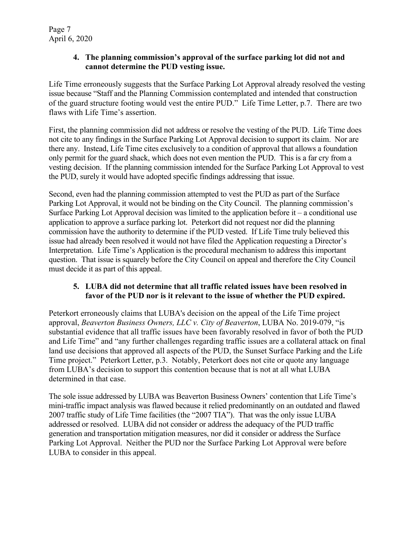#### **4. The planning commission's approval of the surface parking lot did not and cannot determine the PUD vesting issue.**

Life Time erroneously suggests that the Surface Parking Lot Approval already resolved the vesting issue because "Staff and the Planning Commission contemplated and intended that construction of the guard structure footing would vest the entire PUD." Life Time Letter, p.7. There are two flaws with Life Time's assertion.

First, the planning commission did not address or resolve the vesting of the PUD. Life Time does not cite to any findings in the Surface Parking Lot Approval decision to support its claim. Nor are there any. Instead, Life Time cites exclusively to a condition of approval that allows a foundation only permit for the guard shack, which does not even mention the PUD. This is a far cry from a vesting decision. If the planning commission intended for the Surface Parking Lot Approval to vest the PUD, surely it would have adopted specific findings addressing that issue.

Second, even had the planning commission attempted to vest the PUD as part of the Surface Parking Lot Approval, it would not be binding on the City Council. The planning commission's Surface Parking Lot Approval decision was limited to the application before it – a conditional use application to approve a surface parking lot. Peterkort did not request nor did the planning commission have the authority to determine if the PUD vested. If Life Time truly believed this issue had already been resolved it would not have filed the Application requesting a Director's Interpretation. Life Time's Application is the procedural mechanism to address this important question. That issue is squarely before the City Council on appeal and therefore the City Council must decide it as part of this appeal.

#### **5. LUBA did not determine that all traffic related issues have been resolved in favor of the PUD nor is it relevant to the issue of whether the PUD expired.**

Peterkort erroneously claims that LUBA's decision on the appeal of the Life Time project approval, *Beaverton Business Owners, LLC v. City of Beaverton*, LUBA No. 2019-079, "is substantial evidence that all traffic issues have been favorably resolved in favor of both the PUD and Life Time" and "any further challenges regarding traffic issues are a collateral attack on final land use decisions that approved all aspects of the PUD, the Sunset Surface Parking and the Life Time project." Peterkort Letter, p.3. Notably, Peterkort does not cite or quote any language from LUBA's decision to support this contention because that is not at all what LUBA determined in that case.

The sole issue addressed by LUBA was Beaverton Business Owners' contention that Life Time's mini-traffic impact analysis was flawed because it relied predominantly on an outdated and flawed 2007 traffic study of Life Time facilities (the "2007 TIA"). That was the only issue LUBA addressed or resolved. LUBA did not consider or address the adequacy of the PUD traffic generation and transportation mitigation measures, nor did it consider or address the Surface Parking Lot Approval. Neither the PUD nor the Surface Parking Lot Approval were before LUBA to consider in this appeal.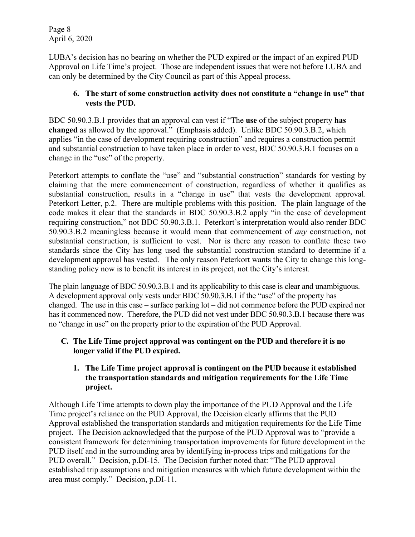Page 8 April 6, 2020

LUBA's decision has no bearing on whether the PUD expired or the impact of an expired PUD Approval on Life Time's project. Those are independent issues that were not before LUBA and can only be determined by the City Council as part of this Appeal process.

#### **6. The start of some construction activity does not constitute a "change in use" that vests the PUD.**

BDC 50.90.3.B.1 provides that an approval can vest if "The **use** of the subject property **has changed** as allowed by the approval." (Emphasis added). Unlike BDC 50.90.3.B.2, which applies "in the case of development requiring construction" and requires a construction permit and substantial construction to have taken place in order to vest, BDC 50.90.3.B.1 focuses on a change in the "use" of the property.

Peterkort attempts to conflate the "use" and "substantial construction" standards for vesting by claiming that the mere commencement of construction, regardless of whether it qualifies as substantial construction, results in a "change in use" that vests the development approval. Peterkort Letter, p.2. There are multiple problems with this position. The plain language of the code makes it clear that the standards in BDC 50.90.3.B.2 apply "in the case of development requiring construction," not BDC 50.90.3.B.1. Peterkort's interpretation would also render BDC 50.90.3.B.2 meaningless because it would mean that commencement of *any* construction, not substantial construction, is sufficient to vest. Nor is there any reason to conflate these two standards since the City has long used the substantial construction standard to determine if a development approval has vested. The only reason Peterkort wants the City to change this longstanding policy now is to benefit its interest in its project, not the City's interest.

The plain language of BDC 50.90.3.B.1 and its applicability to this case is clear and unambiguous. A development approval only vests under BDC 50.90.3.B.1 if the "use" of the property has changed. The use in this case – surface parking lot – did not commence before the PUD expired nor has it commenced now. Therefore, the PUD did not vest under BDC 50.90.3.B.1 because there was no "change in use" on the property prior to the expiration of the PUD Approval.

# **C. The Life Time project approval was contingent on the PUD and therefore it is no longer valid if the PUD expired.**

#### **1. The Life Time project approval is contingent on the PUD because it established the transportation standards and mitigation requirements for the Life Time project.**

Although Life Time attempts to down play the importance of the PUD Approval and the Life Time project's reliance on the PUD Approval, the Decision clearly affirms that the PUD Approval established the transportation standards and mitigation requirements for the Life Time project. The Decision acknowledged that the purpose of the PUD Approval was to "provide a consistent framework for determining transportation improvements for future development in the PUD itself and in the surrounding area by identifying in-process trips and mitigations for the PUD overall." Decision, p.DI-15. The Decision further noted that: "The PUD approval established trip assumptions and mitigation measures with which future development within the area must comply." Decision, p.DI-11.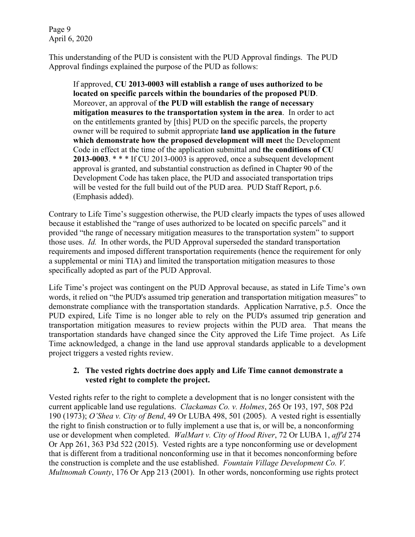Page 9 April 6, 2020

This understanding of the PUD is consistent with the PUD Approval findings. The PUD Approval findings explained the purpose of the PUD as follows:

If approved, **CU 2013-0003 will establish a range of uses authorized to be located on specific parcels within the boundaries of the proposed PUD**. Moreover, an approval of **the PUD will establish the range of necessary mitigation measures to the transportation system in the area**. In order to act on the entitlements granted by [this] PUD on the specific parcels, the property owner will be required to submit appropriate **land use application in the future which demonstrate how the proposed development will meet** the Development Code in effect at the time of the application submittal and **the conditions of CU 2013-0003**. \* \* \* If CU 2013-0003 is approved, once a subsequent development approval is granted, and substantial construction as defined in Chapter 90 of the Development Code has taken place, the PUD and associated transportation trips will be vested for the full build out of the PUD area. PUD Staff Report, p.6. (Emphasis added).

Contrary to Life Time's suggestion otherwise, the PUD clearly impacts the types of uses allowed because it established the "range of uses authorized to be located on specific parcels" and it provided "the range of necessary mitigation measures to the transportation system" to support those uses. *Id.* In other words, the PUD Approval superseded the standard transportation requirements and imposed different transportation requirements (hence the requirement for only a supplemental or mini TIA) and limited the transportation mitigation measures to those specifically adopted as part of the PUD Approval.

Life Time's project was contingent on the PUD Approval because, as stated in Life Time's own words, it relied on "the PUD's assumed trip generation and transportation mitigation measures" to demonstrate compliance with the transportation standards. Application Narrative, p.5. Once the PUD expired, Life Time is no longer able to rely on the PUD's assumed trip generation and transportation mitigation measures to review projects within the PUD area. That means the transportation standards have changed since the City approved the Life Time project. As Life Time acknowledged, a change in the land use approval standards applicable to a development project triggers a vested rights review.

#### **2. The vested rights doctrine does apply and Life Time cannot demonstrate a vested right to complete the project.**

Vested rights refer to the right to complete a development that is no longer consistent with the current applicable land use regulations. *Clackamas Co. v. Holmes*, 265 Or 193, 197, 508 P2d 190 (1973); *O'Shea v. City of Bend*, 49 Or LUBA 498, 501 (2005). A vested right is essentially the right to finish construction or to fully implement a use that is, or will be, a nonconforming use or development when completed. *WalMart v. City of Hood River*, 72 Or LUBA 1, *aff'd* 274 Or App 261, 363 P3d 522 (2015). Vested rights are a type nonconforming use or development that is different from a traditional nonconforming use in that it becomes nonconforming before the construction is complete and the use established. *Fountain Village Development Co. V. Multnomah County*, 176 Or App 213 (2001). In other words, nonconforming use rights protect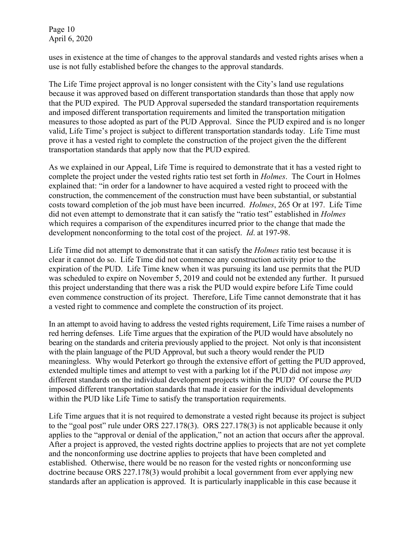Page 10 April 6, 2020

uses in existence at the time of changes to the approval standards and vested rights arises when a use is not fully established before the changes to the approval standards.

The Life Time project approval is no longer consistent with the City's land use regulations because it was approved based on different transportation standards than those that apply now that the PUD expired. The PUD Approval superseded the standard transportation requirements and imposed different transportation requirements and limited the transportation mitigation measures to those adopted as part of the PUD Approval. Since the PUD expired and is no longer valid, Life Time's project is subject to different transportation standards today. Life Time must prove it has a vested right to complete the construction of the project given the the different transportation standards that apply now that the PUD expired.

As we explained in our Appeal, Life Time is required to demonstrate that it has a vested right to complete the project under the vested rights ratio test set forth in *Holmes*. The Court in Holmes explained that: "in order for a landowner to have acquired a vested right to proceed with the construction, the commencement of the construction must have been substantial, or substantial costs toward completion of the job must have been incurred. *Holmes*, 265 Or at 197. Life Time did not even attempt to demonstrate that it can satisfy the "ratio test" established in *Holmes* which requires a comparison of the expenditures incurred prior to the change that made the development nonconforming to the total cost of the project. *Id*. at 197-98.

Life Time did not attempt to demonstrate that it can satisfy the *Holmes* ratio test because it is clear it cannot do so. Life Time did not commence any construction activity prior to the expiration of the PUD. Life Time knew when it was pursuing its land use permits that the PUD was scheduled to expire on November 5, 2019 and could not be extended any further. It pursued this project understanding that there was a risk the PUD would expire before Life Time could even commence construction of its project. Therefore, Life Time cannot demonstrate that it has a vested right to commence and complete the construction of its project.

In an attempt to avoid having to address the vested rights requirement, Life Time raises a number of red herring defenses. Life Time argues that the expiration of the PUD would have absolutely no bearing on the standards and criteria previously applied to the project. Not only is that inconsistent with the plain language of the PUD Approval, but such a theory would render the PUD meaningless. Why would Peterkort go through the extensive effort of getting the PUD approved, extended multiple times and attempt to vest with a parking lot if the PUD did not impose *any* different standards on the individual development projects within the PUD? Of course the PUD imposed different transportation standards that made it easier for the individual developments within the PUD like Life Time to satisfy the transportation requirements.

Life Time argues that it is not required to demonstrate a vested right because its project is subject to the "goal post" rule under ORS 227.178(3). ORS 227.178(3) is not applicable because it only applies to the "approval or denial of the application," not an action that occurs after the approval. After a project is approved, the vested rights doctrine applies to projects that are not yet complete and the nonconforming use doctrine applies to projects that have been completed and established. Otherwise, there would be no reason for the vested rights or nonconforming use doctrine because ORS 227.178(3) would prohibit a local government from ever applying new standards after an application is approved. It is particularly inapplicable in this case because it